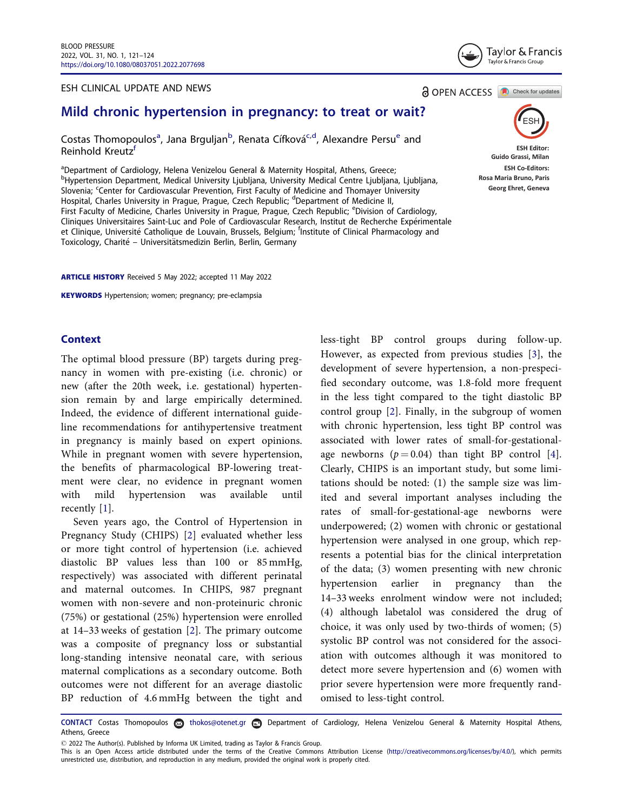#### ESH CLINICAL UPDATE AND NEWS



**ESH Editor: Guido Grassi, Milan ESH Co-Editors: Rosa Maria Bruno, Paris Georg Ehret, Geneva**

**a** OPEN ACCESS **a** Check for updates

# Mild chronic hypertension in pregnancy: to treat or wait?

Costas Thomopoulos<sup>a</sup>, Jana Brguljan<sup>b</sup>, Renata Cífková<sup>c,d</sup>, Alexandre Persu<sup>e</sup> and Reinhold Kreutz<sup>f</sup>

<sup>a</sup>Department of Cardiology, Helena Venizelou General & Maternity Hospital, Athens, Greece; b Hypertension Department, Medical University Ljubljana, University Medical Centre Ljubljana, Ljubljana, Slovenia; Center for Cardiovascular Prevention, First Faculty of Medicine and Thomayer University Hospital, Charles University in Prague, Prague, Czech Republic; <sup>d</sup>Department of Medicine II, First Faculty of Medicine, Charles University in Prague, Prague, Czech Republic; <sup>e</sup>Division of Cardiology, Cliniques Universitaires Saint-Luc and Pole of Cardiovascular Research, Institut de Recherche Experimentale et Clinique, Université Catholique de Louvain, Brussels, Belgium; <sup>f</sup>Institute of Clinical Pharmacology and Toxicology, Charité – Universitätsmedizin Berlin, Berlin, Germany

ARTICLE HISTORY Received 5 May 2022; accepted 11 May 2022

KEYWORDS Hypertension; women; pregnancy; pre-eclampsia

## **Context**

The optimal blood pressure (BP) targets during pregnancy in women with pre-existing (i.e. chronic) or new (after the 20th week, i.e. gestational) hypertension remain by and large empirically determined. Indeed, the evidence of different international guideline recommendations for antihypertensive treatment in pregnancy is mainly based on expert opinions. While in pregnant women with severe hypertension, the benefits of pharmacological BP-lowering treatment were clear, no evidence in pregnant women with mild hypertension was available until recently [1].

Seven years ago, the Control of Hypertension in Pregnancy Study (CHIPS) [2] evaluated whether less or more tight control of hypertension (i.e. achieved diastolic BP values less than 100 or 85 mmHg, respectively) was associated with different perinatal and maternal outcomes. In CHIPS, 987 pregnant women with non-severe and non-proteinuric chronic (75%) or gestational (25%) hypertension were enrolled at 14–33 weeks of gestation [2]. The primary outcome was a composite of pregnancy loss or substantial long-standing intensive neonatal care, with serious maternal complications as a secondary outcome. Both outcomes were not different for an average diastolic BP reduction of 4.6 mmHg between the tight and less-tight BP control groups during follow-up. However, as expected from previous studies [3], the development of severe hypertension, a non-prespecified secondary outcome, was 1.8-fold more frequent in the less tight compared to the tight diastolic BP control group [2]. Finally, in the subgroup of women with chronic hypertension, less tight BP control was associated with lower rates of small-for-gestationalage newborns  $(p = 0.04)$  than tight BP control [4]. Clearly, CHIPS is an important study, but some limitations should be noted: (1) the sample size was limited and several important analyses including the rates of small-for-gestational-age newborns were underpowered; (2) women with chronic or gestational hypertension were analysed in one group, which represents a potential bias for the clinical interpretation of the data; (3) women presenting with new chronic hypertension earlier in pregnancy than the 14–33 weeks enrolment window were not included; (4) although labetalol was considered the drug of choice, it was only used by two-thirds of women; (5) systolic BP control was not considered for the association with outcomes although it was monitored to detect more severe hypertension and (6) women with prior severe hypertension were more frequently randomised to less-tight control.

CONTACT Costas Thomopoulos thokos@otenet.gr Department of Cardiology, Helena Venizelou General & Maternity Hospital Athens, Athens, Greece

2022 The Author(s). Published by Informa UK Limited, trading as Taylor & Francis Group.

This is an Open Access article distributed under the terms of the Creative Commons Attribution License [\(http://creativecommons.org/licenses/by/4.0/](http://creativecommons.org/licenses/by/4.0/)), which permits unrestricted use, distribution, and reproduction in any medium, provided the original work is properly cited.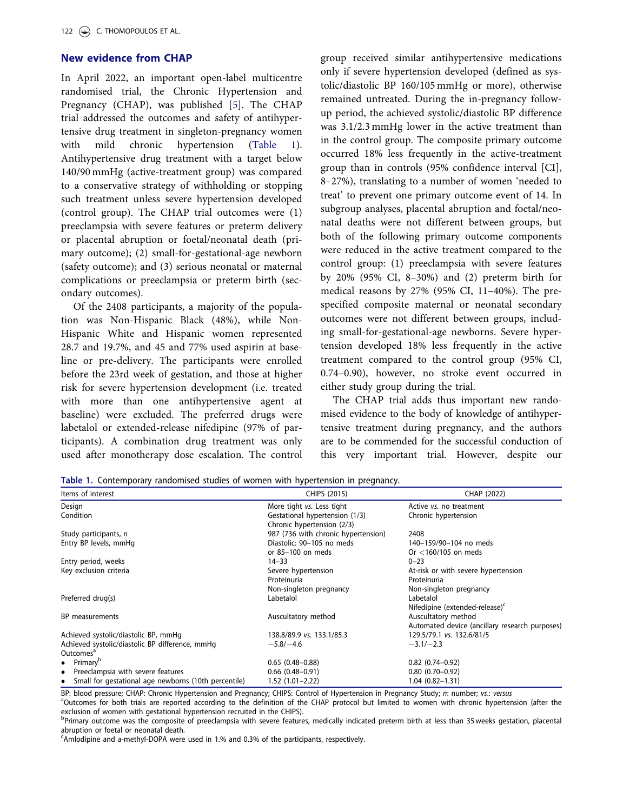## New evidence from CHAP

In April 2022, an important open-label multicentre randomised trial, the Chronic Hypertension and Pregnancy (CHAP), was published [5]. The CHAP trial addressed the outcomes and safety of antihypertensive drug treatment in singleton-pregnancy women with mild chronic hypertension (Table 1). Antihypertensive drug treatment with a target below 140/90 mmHg (active-treatment group) was compared to a conservative strategy of withholding or stopping such treatment unless severe hypertension developed (control group). The CHAP trial outcomes were (1) preeclampsia with severe features or preterm delivery or placental abruption or foetal/neonatal death (primary outcome); (2) small-for-gestational-age newborn (safety outcome); and (3) serious neonatal or maternal complications or preeclampsia or preterm birth (secondary outcomes).

Of the 2408 participants, a majority of the population was Non-Hispanic Black (48%), while Non-Hispanic White and Hispanic women represented 28.7 and 19.7%, and 45 and 77% used aspirin at baseline or pre-delivery. The participants were enrolled before the 23rd week of gestation, and those at higher risk for severe hypertension development (i.e. treated with more than one antihypertensive agent at baseline) were excluded. The preferred drugs were labetalol or extended-release nifedipine (97% of participants). A combination drug treatment was only used after monotherapy dose escalation. The control group received similar antihypertensive medications only if severe hypertension developed (defined as systolic/diastolic BP 160/105 mmHg or more), otherwise remained untreated. During the in-pregnancy followup period, the achieved systolic/diastolic BP difference was 3.1/2.3 mmHg lower in the active treatment than in the control group. The composite primary outcome occurred 18% less frequently in the active-treatment group than in controls (95% confidence interval [CI], 8–27%), translating to a number of women 'needed to treat' to prevent one primary outcome event of 14. In subgroup analyses, placental abruption and foetal/neonatal deaths were not different between groups, but both of the following primary outcome components were reduced in the active treatment compared to the control group: (1) preeclampsia with severe features by 20% (95% CI, 8–30%) and (2) preterm birth for medical reasons by 27% (95% CI, 11–40%). The prespecified composite maternal or neonatal secondary outcomes were not different between groups, including small-for-gestational-age newborns. Severe hypertension developed 18% less frequently in the active treatment compared to the control group (95% CI, 0.74–0.90), however, no stroke event occurred in either study group during the trial.

The CHAP trial adds thus important new randomised evidence to the body of knowledge of antihypertensive treatment during pregnancy, and the authors are to be commended for the successful conduction of this very important trial. However, despite our

Table 1. Contemporary randomised studies of women with hypertension in pregnancy.

| Items of interest                                                 | CHIPS (2015)                                                 | CHAP (2022)                                    |
|-------------------------------------------------------------------|--------------------------------------------------------------|------------------------------------------------|
| Design                                                            | More tight vs. Less tight                                    | Active <i>vs.</i> no treatment                 |
| Condition                                                         | Gestational hypertension (1/3)<br>Chronic hypertension (2/3) | Chronic hypertension                           |
| Study participants, n                                             | 987 (736 with chronic hypertension)                          | 2408                                           |
| Entry BP levels, mmHg                                             | Diastolic: 90-105 no meds                                    | 140-159/90-104 no meds                         |
|                                                                   | or 85-100 on meds                                            | Or $<$ 160/105 on meds                         |
| Entry period, weeks                                               | $14 - 33$                                                    | $0 - 23$                                       |
| Key exclusion criteria                                            | Severe hypertension                                          | At-risk or with severe hypertension            |
|                                                                   | Proteinuria                                                  | Proteinuria                                    |
| Preferred drug(s)                                                 | Non-singleton pregnancy<br>Labetalol                         | Non-singleton pregnancy<br>Labetalol           |
|                                                                   |                                                              | Nifedipine (extended-release) <sup>c</sup>     |
| BP measurements                                                   | Auscultatory method                                          | Auscultatory method                            |
|                                                                   |                                                              | Automated device (ancillary research purposes) |
| Achieved systolic/diastolic BP, mmHq                              | 138.8/89.9 vs. 133.1/85.3                                    | 129.5/79.1 vs. 132.6/81/5                      |
| Achieved systolic/diastolic BP difference, mmHq                   | $-5.8/-4.6$                                                  | $-3.1/-2.3$                                    |
| Outcomes <sup>a</sup>                                             |                                                              |                                                |
| $\bullet$ Primary <sup>b</sup>                                    | $0.65(0.48 - 0.88)$                                          | $0.82$ (0.74-0.92)                             |
| Preeclampsia with severe features<br>$\bullet$                    | $0.66$ $(0.48 - 0.91)$                                       | $0.80(0.70-0.92)$                              |
| Small for gestational age newborns (10th percentile)<br>$\bullet$ | $1.52(1.01 - 2.22)$                                          | $1.04(0.82 - 1.31)$                            |

BP: blood pressure; CHAP: Chronic Hypertension and Pregnancy; CHIPS: Control of Hypertension in Pregnancy Study; n: number; vs.: versus

<sup>a</sup>Outcomes for both trials are reported according to the definition of the CHAP protocol but limited to women with chronic hypertension (after the exclusion of women with gestational hypertension recruited in the CHIPS).

bPrimary outcome was the composite of preeclampsia with severe features, medically indicated preterm birth at less than 35 weeks gestation, placental abruption or foetal or neonatal death.

<sup>c</sup>Amlodipine and a-methyl-DOPA were used in 1.% and 0.3% of the participants, respectively.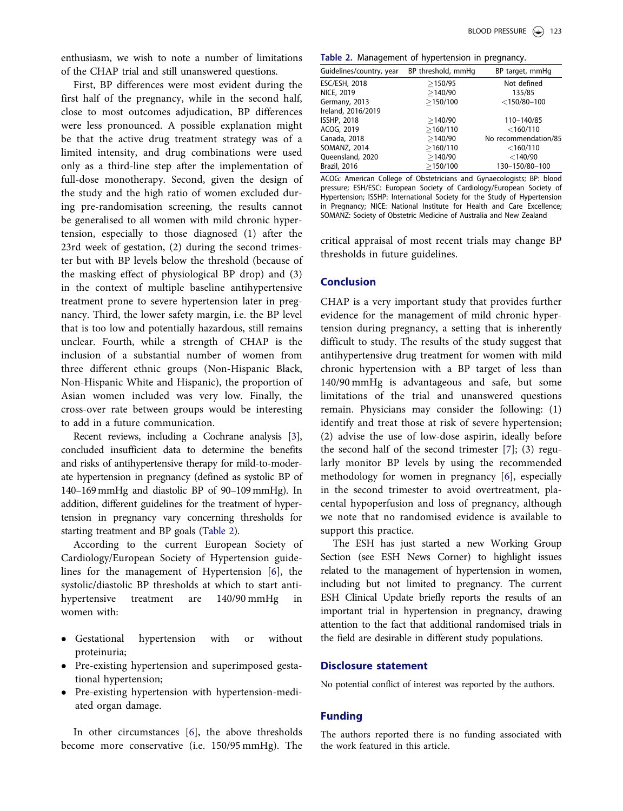enthusiasm, we wish to note a number of limitations of the CHAP trial and still unanswered questions.

First, BP differences were most evident during the first half of the pregnancy, while in the second half, close to most outcomes adjudication, BP differences were less pronounced. A possible explanation might be that the active drug treatment strategy was of a limited intensity, and drug combinations were used only as a third-line step after the implementation of full-dose monotherapy. Second, given the design of the study and the high ratio of women excluded during pre-randomisation screening, the results cannot be generalised to all women with mild chronic hypertension, especially to those diagnosed (1) after the 23rd week of gestation, (2) during the second trimester but with BP levels below the threshold (because of the masking effect of physiological BP drop) and (3) in the context of multiple baseline antihypertensive treatment prone to severe hypertension later in pregnancy. Third, the lower safety margin, i.e. the BP level that is too low and potentially hazardous, still remains unclear. Fourth, while a strength of CHAP is the inclusion of a substantial number of women from three different ethnic groups (Non-Hispanic Black, Non-Hispanic White and Hispanic), the proportion of Asian women included was very low. Finally, the cross-over rate between groups would be interesting to add in a future communication.

Recent reviews, including a Cochrane analysis [3], concluded insufficient data to determine the benefits and risks of antihypertensive therapy for mild-to-moderate hypertension in pregnancy (defined as systolic BP of 140–169 mmHg and diastolic BP of 90–109 mmHg). In addition, different guidelines for the treatment of hypertension in pregnancy vary concerning thresholds for starting treatment and BP goals (Table 2).

According to the current European Society of Cardiology/European Society of Hypertension guidelines for the management of Hypertension [6], the systolic/diastolic BP thresholds at which to start antihypertensive treatment are 140/90 mmHg in women with:

- Gestational hypertension with or without proteinuria;
- Pre-existing hypertension and superimposed gestational hypertension;
- Pre-existing hypertension with hypertension-mediated organ damage.

In other circumstances [6], the above thresholds become more conservative (i.e. 150/95 mmHg). The

Table 2. Management of hypertension in pregnancy.

| Guidelines/country, year | BP threshold, mmHq | BP target, mmHg      |
|--------------------------|--------------------|----------------------|
| ESC/ESH, 2018            | >150/95            | Not defined          |
| NICE, 2019               | >140/90            | 135/85               |
| Germany, 2013            | >150/100           | $<$ 150/80-100       |
| Ireland, 2016/2019       |                    |                      |
| <b>ISSHP, 2018</b>       | >140/90            | 110-140/85           |
| ACOG, 2019               | >160/110           | $<$ 160/110          |
| Canada, 2018             | >140/90            | No recommendation/85 |
| SOMANZ, 2014             | >160/110           | $<$ 160/110          |
| Queensland, 2020         | >140/90            | $<$ 140/90           |
| Brazil, 2016             | >150/100           | 130-150/80-100       |
|                          |                    |                      |

ACOG: American College of Obstetricians and Gynaecologists; BP: blood pressure; ESH/ESC: European Society of Cardiology/European Society of Hypertension; ISSHP: International Society for the Study of Hypertension in Pregnancy; NICE: National Institute for Health and Care Excellence; SOMANZ: Society of Obstetric Medicine of Australia and New Zealand

critical appraisal of most recent trials may change BP thresholds in future guidelines.

#### Conclusion

CHAP is a very important study that provides further evidence for the management of mild chronic hypertension during pregnancy, a setting that is inherently difficult to study. The results of the study suggest that antihypertensive drug treatment for women with mild chronic hypertension with a BP target of less than 140/90 mmHg is advantageous and safe, but some limitations of the trial and unanswered questions remain. Physicians may consider the following: (1) identify and treat those at risk of severe hypertension; (2) advise the use of low-dose aspirin, ideally before the second half of the second trimester  $[7]$ ; (3) regularly monitor BP levels by using the recommended methodology for women in pregnancy [6], especially in the second trimester to avoid overtreatment, placental hypoperfusion and loss of pregnancy, although we note that no randomised evidence is available to support this practice.

The ESH has just started a new Working Group Section (see ESH News Corner) to highlight issues related to the management of hypertension in women, including but not limited to pregnancy. The current ESH Clinical Update briefly reports the results of an important trial in hypertension in pregnancy, drawing attention to the fact that additional randomised trials in the field are desirable in different study populations.

## Disclosure statement

No potential conflict of interest was reported by the authors.

#### Funding

The authors reported there is no funding associated with the work featured in this article.